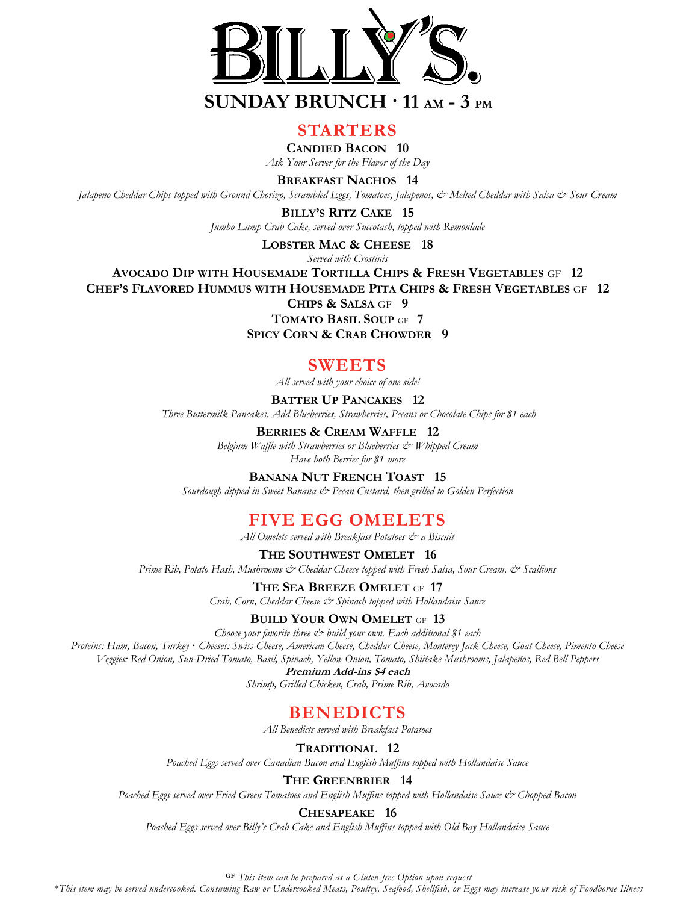

## **STARTERS**

**CANDIED BACON 10** *Ask Your Server for the Flavor of the Day*

**BREAKFAST NACHOS 14**

*Jalapeno Cheddar Chips topped with Ground Chorizo, Scrambled Eggs, Tomatoes, Jalapenos, & Melted Cheddar with Salsa & Sour Cream*

**BILLY'S RITZ CAKE 15** *Jumbo Lump Crab Cake, served over Succotash, topped with Remoulade* 

**LOBSTER MAC & CHEESE 18**

*Served with Crostinis*

**AVOCADO DIP WITH HOUSEMADE TORTILLA CHIPS & FRESH VEGETABLES** GF **12**

**CHEF'S FLAVORED HUMMUS WITH HOUSEMADE PITA CHIPS & FRESH VEGETABLES** GF **12**

**CHIPS & SALSA** GF **9**

**TOMATO BASIL SOUP** GF **7**

**SPICY CORN & CRAB CHOWDER 9**

## **SWEETS**

*All served with your choice of one side!*

**BATTER UP PANCAKES 12**

*Three Buttermilk Pancakes. Add Blueberries, Strawberries, Pecans or Chocolate Chips for \$1 each*

### **BERRIES & CREAM WAFFLE 12**

*Belgium Waffle with Strawberries or Blueberries & Whipped Cream Have both Berries for \$1 more*

**BANANA NUT FRENCH TOAST 15**

*Sourdough dipped in Sweet Banana & Pecan Custard, then grilled to Golden Perfection*

# **FIVE EGG OMELETS**

*All Omelets served with Breakfast Potatoes & a Biscuit*

### **THE SOUTHWEST OMELET 16**

*Prime Rib, Potato Hash, Mushrooms & Cheddar Cheese topped with Fresh Salsa, Sour Cream, & Scallions*

### **THE SEA BREEZE OMELET** GF **17**

*Crab, Corn, Cheddar Cheese & Spinach topped with Hollandaise Sauce*

### **BUILD YOUR OWN OMELET** GF **13**

*Choose your favorite three & build your own. Each additional \$1 each Proteins: Ham, Bacon, Turkey* **·** *Cheeses: Swiss Cheese, American Cheese, Cheddar Cheese, Monterey Jack Cheese, Goat Cheese, Pimento Cheese Veggies: Red Onion, Sun-Dried Tomato, Basil, Spinach, Yellow Onion, Tomato, Shiitake Mushrooms, Jalapeños, Red Bell Peppers* 

**Premium Add-ins \$4 each**

*Shrimp, Grilled Chicken, Crab, Prime Rib, Avocado* 

## **BENEDICTS**

*All Benedicts served with Breakfast Potatoes*

**TRADITIONAL 12**

*Poached Eggs served over Canadian Bacon and English Muffins topped with Hollandaise Sauce*

### **THE GREENBRIER 14**

*Poached Eggs served over Fried Green Tomatoes and English Muffins topped with Hollandaise Sauce & Chopped Bacon*

## **CHESAPEAKE 16**

*Poached Eggs served over Billy's Crab Cake and English Muffins topped with Old Bay Hollandaise Sauce*

**GF** *This item can be prepared as a Gluten-free Option upon request*

\**This item may be served undercooked. Consuming Raw or Undercooked Meats, Poultry, Seafood, Shellfish, or Eggs may increase yo ur risk of Foodborne Illness*